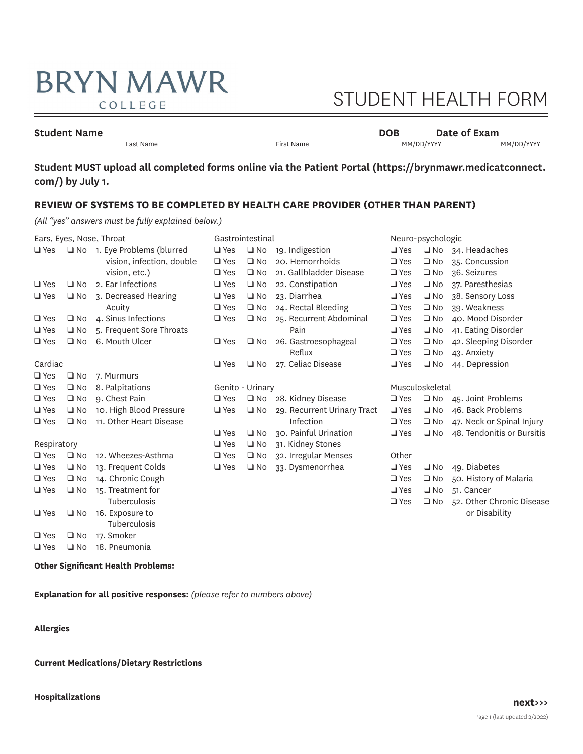## **BRYN MAWR** COLLEGE

# STUDENT HEALTH FORM

## **Student Name** Last Name **DOB DATE: DOB DATE: DATE: DATE: DATE: DATE: DATE: DATE: DATE: DATE: DATE: DATE: DATE: DATE: DATE: DATE: DATE: DATE: DATE: DATE: DATE: DATE: DATE:**

Last Name First Name MM/DD/YYYY MM/DD/YYYY

**Student MUST upload all completed forms online via the Patient Portal (<https://brynmawr.medicatconnect>. com/) by July 1.** 

## **REVIEW OF SYSTEMS TO BE COMPLETED BY HEALTH CARE PROVIDER (OTHER THAN PARENT)**

*(All "yes" answers must be fully explained below.)* 

| Ears, Eyes, Nose, Throat |              |                             |               | Gastrointestinal |                             |               | Neuro-psychologic |                              |  |
|--------------------------|--------------|-----------------------------|---------------|------------------|-----------------------------|---------------|-------------------|------------------------------|--|
| $\square$ Yes            |              | No 1. Eye Problems (blurred | $\Box$ Yes    | $\square$ No     | 19. Indigestion             | $\Box$ Yes    |                   | $\Box$ No 34. Headaches      |  |
|                          |              | vision, infection, double   | $\Box$ Yes    | $\square$ No     | 20. Hemorrhoids             | $\Box$ Yes    | $\square$ No      | 35. Concussion               |  |
|                          |              | vision, etc.)               | $\Box$ Yes    | $\square$ No     | 21. Gallbladder Disease     | $\square$ Yes | $\square$ No      | 36. Seizures                 |  |
| $\Box$ Yes               | $\square$ No | 2. Ear Infections           | $\Box$ Yes    | $\square$ No     | 22. Constipation            | $\Box$ Yes    | $\square$ No      | 37. Paresthesias             |  |
| $\square$ Yes            | $\square$ No | 3. Decreased Hearing        | $\Box$ Yes    | $\square$ No     | 23. Diarrhea                | $\Box$ Yes    | $\square$ No      | 38. Sensory Loss             |  |
|                          |              | Acuity                      | $\Box$ Yes    | $\square$ No     | 24. Rectal Bleeding         | $\square$ Yes | $\square$ No      | 39. Weakness                 |  |
| $\square$ Yes            | $\square$ No | 4. Sinus Infections         | $\square$ Yes | $\square$ No     | 25. Recurrent Abdominal     | $\Box$ Yes    | $\square$ No      | 40. Mood Disorder            |  |
| $\square$ Yes            | $\Box$ No    | 5. Frequent Sore Throats    |               |                  | Pain                        | $\square$ Yes | $\square$ No      | 41. Eating Disorder          |  |
| $\square$ Yes            | $\Box$ No    | 6. Mouth Ulcer              | $\square$ Yes | $\square$ No     | 26. Gastroesophageal        | $\Box$ Yes    | $\Box$ No         | 42. Sleeping Disorder        |  |
|                          |              |                             |               |                  | Reflux                      | $\Box$ Yes    | $\square$ No      | 43. Anxiety                  |  |
| Cardiac                  |              |                             | $\Box$ Yes    | $\square$ No     | 27. Celiac Disease          | $\square$ Yes | $\square$ No      | 44. Depression               |  |
| $\Box$ Yes               | $\square$ No | 7. Murmurs                  |               |                  |                             |               |                   |                              |  |
| $\square$ Yes            | $\square$ No | 8. Palpitations             |               | Genito - Urinary |                             |               | Musculoskeletal   |                              |  |
| $\Box$ Yes               | $\square$ No | 9. Chest Pain               | $\Box$ Yes    |                  | No 28. Kidney Disease       | $\square$ Yes |                   | $\Box$ No 45. Joint Problems |  |
| $\square$ Yes            | $\square$ No | 10. High Blood Pressure     | $\Box$ Yes    | $\square$ No     | 29. Recurrent Urinary Tract | $\Box$ Yes    | $\square$ No      | 46. Back Problems            |  |
| $\square$ Yes            | $\square$ No | 11. Other Heart Disease     |               |                  | Infection                   | $\Box$ Yes    | $\square$ No      | 47. Neck or Spinal Injury    |  |
|                          |              |                             | $\Box$ Yes    | $\square$ No     | 30. Painful Urination       | $\Box$ Yes    | $\square$ No      | 48. Tendonitis or Bursitis   |  |
| Respiratory              |              |                             | $\Box$ Yes    | $\Box$ No        | 31. Kidney Stones           |               |                   |                              |  |
| $\square$ Yes            | $\Box$ No    | 12. Wheezes-Asthma          | $\Box$ Yes    | $\square$ No     | 32. Irregular Menses        | Other         |                   |                              |  |
| $\square$ Yes            | $\square$ No | 13. Frequent Colds          | $\Box$ Yes    | $\square$ No     | 33. Dysmenorrhea            | $\Box$ Yes    | $\square$ No      | 49. Diabetes                 |  |
| $\square$ Yes            | $\Box$ No    | 14. Chronic Cough           |               |                  |                             | $\Box$ Yes    | $\square$ No      | 50. History of Malaria       |  |
| $\square$ Yes            | $\Box$ No    | 15. Treatment for           |               |                  |                             | $\Box$ Yes    | $\square$ No      | 51. Cancer                   |  |
|                          |              | <b>Tuberculosis</b>         |               |                  |                             | $\Box$ Yes    | $\square$ No      | 52. Other Chronic Disease    |  |
| $\square$ Yes            | $\square$ No | 16. Exposure to             |               |                  |                             |               |                   | or Disability                |  |
|                          |              | Tuberculosis                |               |                  |                             |               |                   |                              |  |
| $\square$ Yes            | $\square$ No | 17. Smoker                  |               |                  |                             |               |                   |                              |  |
| $\square$ Yes            | $\Box$ No    | 18. Pneumonia               |               |                  |                             |               |                   |                              |  |
|                          |              |                             |               |                  |                             |               |                   |                              |  |

**Other Signifcant Health Problems:** 

**Explanation for all positive responses:** *(please refer to numbers above)* 

**Allergies** 

**Current Medications/Dietary Restrictions**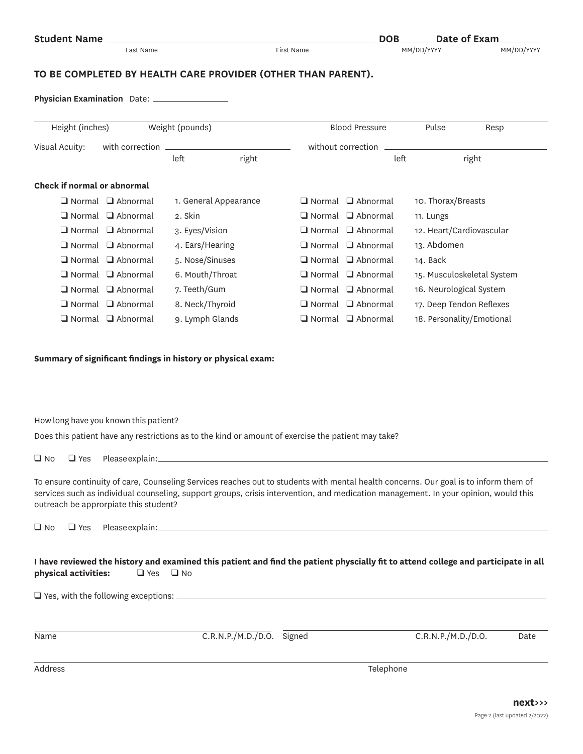| <b>Student Name</b> |  |
|---------------------|--|
|---------------------|--|

## **TO BE COMPLETED BY HEALTH CARE PROVIDER (OTHER THAN PARENT).**

**Physician Examination** Date:

| Height (inches)<br>Weight (pounds) |                               |                 |                       | <b>Blood Pressure</b> | Pulse                         | Resp                     |                            |
|------------------------------------|-------------------------------|-----------------|-----------------------|-----------------------|-------------------------------|--------------------------|----------------------------|
| Visual Acuity:                     | with correction               |                 |                       | without correction    |                               |                          |                            |
|                                    |                               | left            | right                 |                       | left                          |                          | right                      |
| Check if normal or abnormal        |                               |                 |                       |                       |                               |                          |                            |
| $\Box$ Normal                      | $\Box$ Abnormal               |                 | 1. General Appearance |                       | $\Box$ Normal $\Box$ Abnormal | 10. Thorax/Breasts       |                            |
| $\Box$ Normal                      | $\Box$ Abnormal               | 2. Skin         |                       |                       | $\Box$ Normal $\Box$ Abnormal | 11. Lungs                |                            |
|                                    | $\Box$ Normal $\Box$ Abnormal | 3. Eyes/Vision  |                       |                       | $\Box$ Normal $\Box$ Abnormal | 12. Heart/Cardiovascular |                            |
| $\Box$ Normal                      | $\Box$ Abnormal               | 4. Ears/Hearing |                       |                       | $\Box$ Normal $\Box$ Abnormal | 13. Abdomen              |                            |
| $\Box$ Normal                      | $\Box$ Abnormal               | 5. Nose/Sinuses |                       |                       | $\Box$ Normal $\Box$ Abnormal | 14. Back                 |                            |
| $\Box$ Normal                      | $\Box$ Abnormal               | 6. Mouth/Throat |                       |                       | $\Box$ Normal $\Box$ Abnormal |                          | 15. Musculoskeletal System |
| $\Box$ Normal                      | $\Box$ Abnormal               | 7. Teeth/Gum    |                       |                       | $\Box$ Normal $\Box$ Abnormal | 16. Neurological System  |                            |
| $\Box$ Normal                      | $\Box$ Abnormal               | 8. Neck/Thyroid |                       |                       | $\Box$ Normal $\Box$ Abnormal |                          | 17. Deep Tendon Reflexes   |
| $\square$ Normal                   | $\Box$ Abnormal               | 9. Lymph Glands |                       |                       | $\Box$ Normal $\Box$ Abnormal |                          | 18. Personality/Emotional  |

### **Summary of signifcant fndings in history or physical exam:**

How long have you known this patient?

Does this patient have any restrictions as to the kind or amount of exercise the patient may take?

 $\Box$  No  $\Box$  Yes Please explain:

To ensure continuity of care, Counseling Services reaches out to students with mental health concerns. Our goal is to inform them of services such as individual counseling, support groups, crisis intervention, and medication management. In your opinion, would this outreach be approrpiate this student?

q No q Yes Please explain:

|                      |                      | I have reviewed the history and examined this patient and find the patient physcially fit to attend college and participate in all |
|----------------------|----------------------|------------------------------------------------------------------------------------------------------------------------------------|
| physical activities: | $\Box$ Yes $\Box$ No |                                                                                                                                    |

q Yes, with the following exceptions:

| Name    | C.R.N.P./M.D./D.O. Signed | C.R.N.P./M.D./D.O. | Date |  |
|---------|---------------------------|--------------------|------|--|
|         |                           |                    |      |  |
| Address |                           | Telephone          |      |  |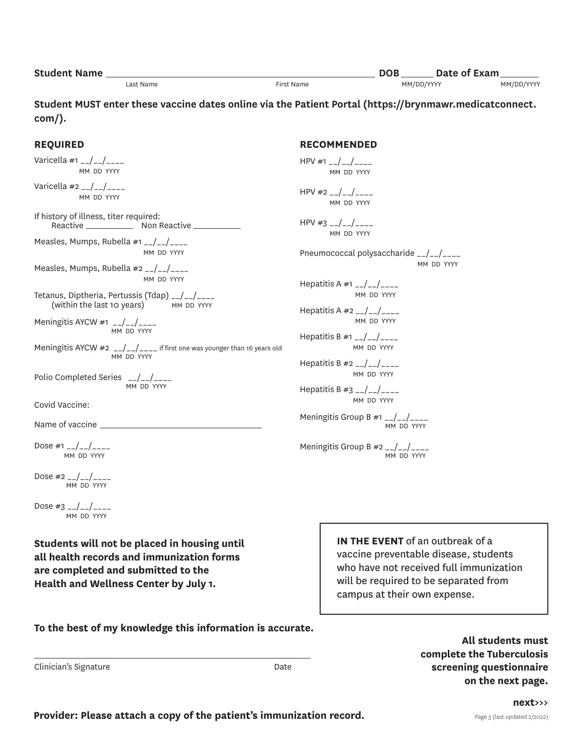| <b>Student Name</b> |           |            | <b>DOB</b> | Date of Exam |
|---------------------|-----------|------------|------------|--------------|
|                     | Last Name | First Name | MM/DD/YYYY | MM/DD/YYYY   |

**Student MUST enter these vaccine dates online via the Patient Portal (<https://brynmawr.medicatconnect>. com/).** 

> **RECOMMENDED**   $HPV #1$ <sub>--</sub>/--/----MM DD YYYY

 $HPV #2$  \_\_/\_\_/\_\_\_\_ MM DD YYYY

 $HPV #3$  \_\_/\_\_/\_\_\_ MM DD YYYY

Hepatitis A #1 \_\_/\_\_/\_\_\_\_

Hepatitis A  $#2$   $_{-}/$   $_{-}/$   $_{---}$ 

Hepatitis B #1  $_{-}/$  -  $/$  - - - -

Hepatitis B  $#2$   $_{-}/$   $_{-}/$   $_{---}$ 

Hepatitis B  $#3$   $_{--}/$   $_{--}/$ 

Pneumococcal polysaccharide \_\_/\_\_/\_\_\_\_

MM DD YYYY

MM DD YYYY

MM DD YYYY

MM DD YYYY

MM DD YYYY

MM DD YYYY

MM DD YYYY

Meningitis Group B  $#1$   $_{--}/$   $_{--}/$ 

Meningitis Group B  $#2$   $_{--}/$   $_{--}/$ 

MM DD YYYY

### **REQUIRED**

Varicella #1  $_{-}/_{-}/_{---}$ MM DD YYYY

Varicella  $#2$   $_{--}/$   $_{--}/$ MM DD YYYY

Reactive \_\_\_\_\_\_\_\_\_\_\_\_\_\_ Non Reactive If history of illness, titer required:

Measles, Mumps, Rubella #1 \_\_/\_\_/\_\_\_\_ MM DD YYYY

Measles, Mumps, Rubella #2 \_\_/\_\_/\_\_\_\_ MM DD YYYY

(within the last 10 years) MM DD YYYY Tetanus, Diptheria, Pertussis (Tdap)  $_{-}/\_/$ <br>(within the last 10 years) MM DD YYYY

Meningitis AYCW #1  $_{-}/_{-}/_{---}$ MM DD YYYY

Meningitis AYCW  $\#2$   $_{--}/\_/$  $_{---}$  if first one was younger than 16 years old MM DD YYYY

Polio Completed Series \_\_/\_\_/\_\_\_ MM DD YYYY

Covid Vaccine:

Name of vaccine

Dose #1  $_{-}/_{-}/_{---}$ MM DD YYYY

Dose  $\#2$  \_\_/\_\_/\_\_\_\_ MM DD YYYY

Dose #3  $_{-}/_{-}/_{---}$ MM DD YYYY

**Students will not be placed in housing until all health records and immunization forms are completed and submitted to the Health and Wellness Center by July 1.** 

**IN THE EVENT** of an outbreak of a vaccine preventable disease, students who have not received full immunization will be required to be separated from campus at their own expense.

**To the best of my knowledge this information is accurate.** 

Clinician's Signature

**All students must complete the Tuberculosis**  Date **Signature Signature Signature Screening questionnaire on the next page.**